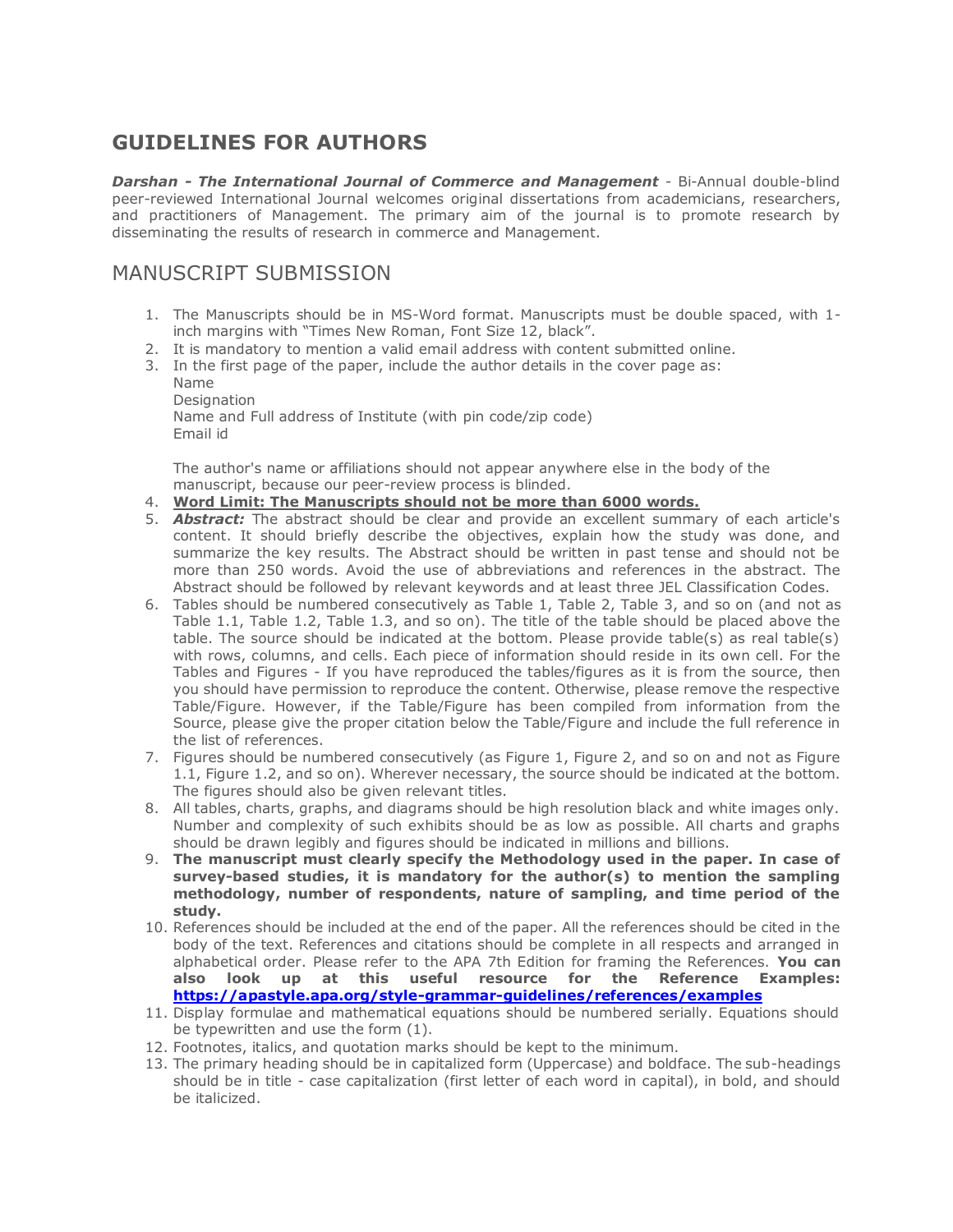# **GUIDELINES FOR AUTHORS**

*Darshan - The International Journal of Commerce and Management* - Bi-Annual double-blind peer-reviewed International Journal welcomes original dissertations from academicians, researchers, and practitioners of Management. The primary aim of the journal is to promote research by disseminating the results of research in commerce and Management.

### MANUSCRIPT SUBMISSION

- 1. The Manuscripts should be in MS-Word format. Manuscripts must be double spaced, with 1 inch margins with "Times New Roman, Font Size 12, black".
- 2. It is mandatory to mention a valid email address with content submitted online.
- 3. In the first page of the paper, include the author details in the cover page as:
	- Name Designation Name and Full address of Institute (with pin code/zip code) Email id

The author's name or affiliations should not appear anywhere else in the body of the manuscript, because our peer-review process is blinded.

- 4. **Word Limit: The Manuscripts should not be more than 6000 words.**
- 5. *Abstract:* The abstract should be clear and provide an excellent summary of each article's content. It should briefly describe the objectives, explain how the study was done, and summarize the key results. The Abstract should be written in past tense and should not be more than 250 words. Avoid the use of abbreviations and references in the abstract. The Abstract should be followed by relevant keywords and at least three JEL Classification Codes.
- 6. Tables should be numbered consecutively as Table 1, Table 2, Table 3, and so on (and not as Table 1.1, Table 1.2, Table 1.3, and so on). The title of the table should be placed above the table. The source should be indicated at the bottom. Please provide table(s) as real table(s) with rows, columns, and cells. Each piece of information should reside in its own cell. For the Tables and Figures - If you have reproduced the tables/figures as it is from the source, then you should have permission to reproduce the content. Otherwise, please remove the respective Table/Figure. However, if the Table/Figure has been compiled from information from the Source, please give the proper citation below the Table/Figure and include the full reference in the list of references.
- 7. Figures should be numbered consecutively (as Figure 1, Figure 2, and so on and not as Figure 1.1, Figure 1.2, and so on). Wherever necessary, the source should be indicated at the bottom. The figures should also be given relevant titles.
- 8. All tables, charts, graphs, and diagrams should be high resolution black and white images only. Number and complexity of such exhibits should be as low as possible. All charts and graphs should be drawn legibly and figures should be indicated in millions and billions.
- 9. **The manuscript must clearly specify the Methodology used in the paper. In case of survey-based studies, it is mandatory for the author(s) to mention the sampling methodology, number of respondents, nature of sampling, and time period of the study.**
- 10. References should be included at the end of the paper. All the references should be cited in the body of the text. References and citations should be complete in all respects and arranged in alphabetical order. Please refer to the APA 7th Edition for framing the References. **You can also look up at this useful resource for the Reference Examples: <https://apastyle.apa.org/style-grammar-guidelines/references/examples>**
- 11. Display formulae and mathematical equations should be numbered serially. Equations should be typewritten and use the form (1).
- 12. Footnotes, italics, and quotation marks should be kept to the minimum.
- 13. The primary heading should be in capitalized form (Uppercase) and boldface. The sub-headings should be in title - case capitalization (first letter of each word in capital), in bold, and should be italicized.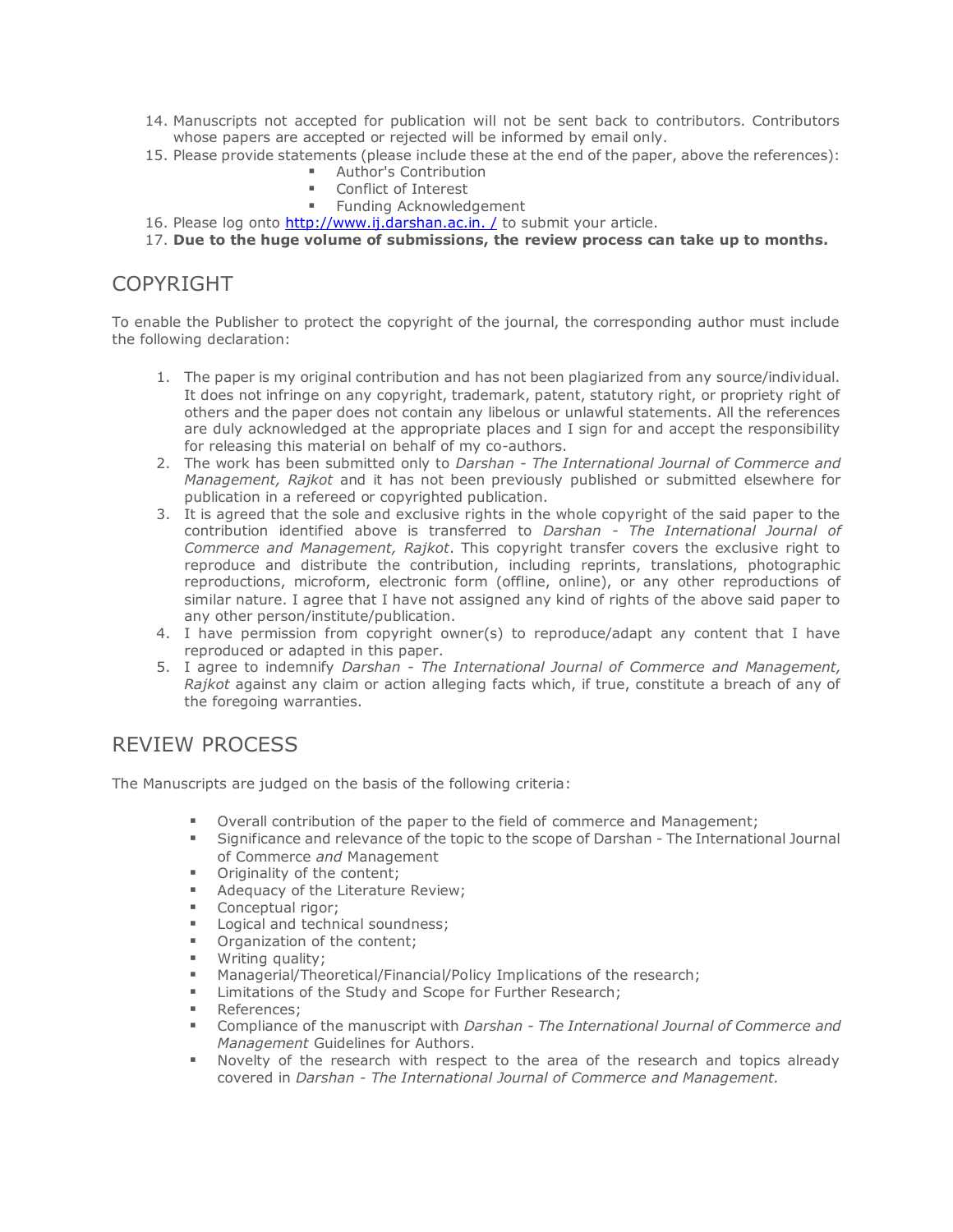- 14. Manuscripts not accepted for publication will not be sent back to contributors. Contributors whose papers are accepted or rejected will be informed by email only.
- 15. Please provide statements (please include these at the end of the paper, above the references):
	- Author's Contribution
	- Conflict of Interest
	- Funding Acknowledgement
- 16. Please log onto http://www.ij.darshan.ac.in. / to submit your article.
- 17. **Due to the huge volume of submissions, the review process can take up to months.**

#### **COPYRIGHT**

To enable the Publisher to protect the copyright of the journal, the corresponding author must include the following declaration:

- 1. The paper is my original contribution and has not been plagiarized from any source/individual. It does not infringe on any copyright, trademark, patent, statutory right, or propriety right of others and the paper does not contain any libelous or unlawful statements. All the references are duly acknowledged at the appropriate places and I sign for and accept the responsibility for releasing this material on behalf of my co-authors.
- 2. The work has been submitted only to *Darshan - The International Journal of Commerce and Management, Rajkot* and it has not been previously published or submitted elsewhere for publication in a refereed or copyrighted publication.
- 3. It is agreed that the sole and exclusive rights in the whole copyright of the said paper to the contribution identified above is transferred to *Darshan - The International Journal of Commerce and Management, Rajkot*. This copyright transfer covers the exclusive right to reproduce and distribute the contribution, including reprints, translations, photographic reproductions, microform, electronic form (offline, online), or any other reproductions of similar nature. I agree that I have not assigned any kind of rights of the above said paper to any other person/institute/publication.
- 4. I have permission from copyright owner(s) to reproduce/adapt any content that I have reproduced or adapted in this paper.
- 5. I agree to indemnify *Darshan - The International Journal of Commerce and Management, Rajkot* against any claim or action alleging facts which, if true, constitute a breach of any of the foregoing warranties.

#### REVIEW PROCESS

The Manuscripts are judged on the basis of the following criteria:

- Overall contribution of the paper to the field of commerce and Management;
- Significance and relevance of the topic to the scope of Darshan The International Journal of Commerce *and* Management
- **•** Originality of the content;
- **Adequacy of the Literature Review;**
- Conceptual rigor;
- Logical and technical soundness;
- **•** Organization of the content;
- Writing quality;<br>Managerial/There
- Managerial/Theoretical/Financial/Policy Implications of the research;
- **EXECO** Limitations of the Study and Scope for Further Research;
- **References**;
- Compliance of the manuscript with *Darshan - The International Journal of Commerce and Management* Guidelines for Authors.
- Novelty of the research with respect to the area of the research and topics already covered in *Darshan - The International Journal of Commerce and Management.*